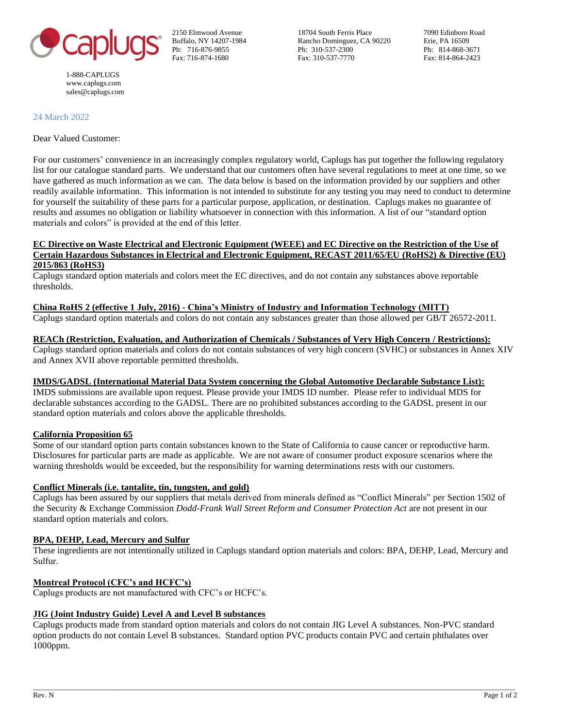

1-888-CAPLUGS [www.caplugs.com](http://www.caplugs.com/) sales@caplugs.com

2150 Elmwood Avenue 18704 South Ferris Place 7090 Edinboro Road Buffalo, NY 14207-1984 Rancho Dominguez, CA 90220 Erie, PA 16509 Ph: 716-876-9855 Ph: 310-537-2300 Ph: 814-868-3671 Fax: 716-874-1680 Fax: 310-537-7770 Fax: 814-864-2423

24 March 2022

Dear Valued Customer:

For our customers' convenience in an increasingly complex regulatory world, Caplugs has put together the following regulatory list for our catalogue standard parts. We understand that our customers often have several regulations to meet at one time, so we have gathered as much information as we can. The data below is based on the information provided by our suppliers and other readily available information. This information is not intended to substitute for any testing you may need to conduct to determine for yourself the suitability of these parts for a particular purpose, application, or destination. Caplugs makes no guarantee of results and assumes no obligation or liability whatsoever in connection with this information. A list of our "standard option materials and colors" is provided at the end of this letter.

#### **EC Directive on Waste Electrical and Electronic Equipment (WEEE) and EC Directive on the Restriction of the Use of Certain Hazardous Substances in Electrical and Electronic Equipment, RECAST 2011/65/EU (RoHS2) & Directive (EU) 2015/863 (RoHS3)**

Caplugs standard option materials and colors meet the EC directives, and do not contain any substances above reportable thresholds.

# **China RoHS 2 (effective 1 July, 2016) - China's Ministry of Industry and Information Technology (MITT)**

Caplugs standard option materials and colors do not contain any substances greater than those allowed per GB/T 26572-2011.

#### **REACh (Restriction, Evaluation, and Authorization of Chemicals / Substances of Very High Concern / Restrictions):** Caplugs standard option materials and colors do not contain substances of very high concern (SVHC) or substances in Annex XIV

and Annex XVII above reportable permitted thresholds.

# **IMDS/GADSL (International Material Data System concerning the Global Automotive Declarable Substance List):**

IMDS submissions are available upon request. Please provide your IMDS ID number. Please refer to individual MDS for declarable substances according to the GADSL. There are no prohibited substances according to the GADSL present in our standard option materials and colors above the applicable thresholds.

# **California Proposition 65**

Some of our standard option parts contain substances known to the State of California to cause cancer or reproductive harm. Disclosures for particular parts are made as applicable. We are not aware of consumer product exposure scenarios where the warning thresholds would be exceeded, but the responsibility for warning determinations rests with our customers.

# **Conflict Minerals (i.e. tantalite, tin, tungsten, and gold)**

Caplugs has been assured by our suppliers that metals derived from minerals defined as "Conflict Minerals" per Section 1502 of the Security & Exchange Commission *Dodd-Frank Wall Street Reform and Consumer Protection Act* are not present in our standard option materials and colors.

# **BPA, DEHP, Lead, Mercury and Sulfur**

These ingredients are not intentionally utilized in Caplugs standard option materials and colors: BPA, DEHP, Lead, Mercury and Sulfur.

# **Montreal Protocol (CFC's and HCFC's)**

Caplugs products are not manufactured with CFC's or HCFC's.

# **JIG (Joint Industry Guide) Level A and Level B substances**

Caplugs products made from standard option materials and colors do not contain JIG Level A substances. Non-PVC standard option products do not contain Level B substances. Standard option PVC products contain PVC and certain phthalates over 1000ppm.

\_\_\_\_\_\_\_\_\_\_\_\_\_\_\_\_\_\_\_\_\_\_\_\_\_\_\_\_\_\_\_\_\_\_\_\_\_\_\_\_\_\_\_\_\_\_\_\_\_\_\_\_\_\_\_\_\_\_\_\_\_\_\_\_\_\_\_\_\_\_\_\_\_\_\_\_\_\_\_\_\_\_\_\_\_\_\_\_\_\_\_\_\_\_\_\_\_\_\_\_\_\_\_\_\_\_\_\_\_\_\_\_\_\_\_\_\_\_\_\_\_\_\_\_\_\_\_\_\_\_\_